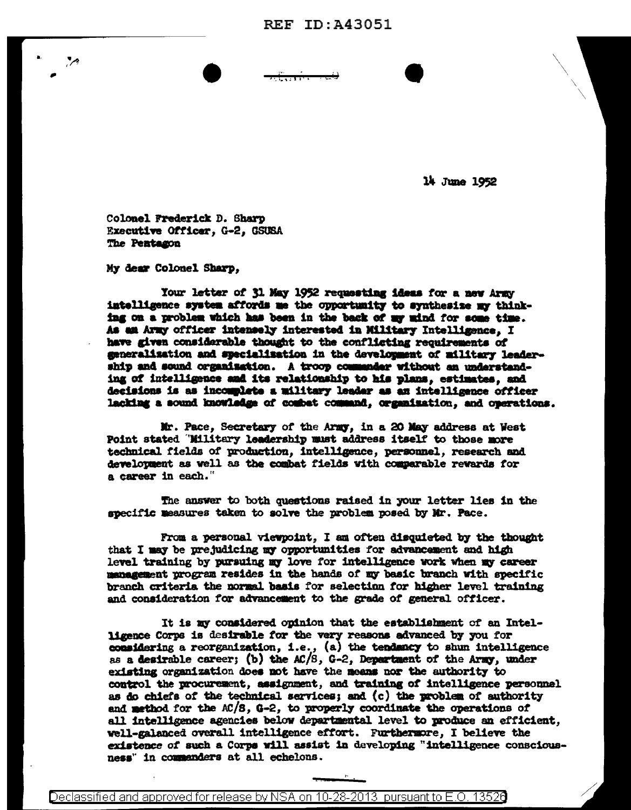14 June 1952

Colonel Frederick D. Sharp Executive Officer, G-2, GSUSA The Pentagon

My dear Colonel Sharp,

Your letter of 31 May 1952 requesting ideas for a new Army intelligence system affords me the opportunity to synthesize my thinking on a problem which has been in the back of my mind for some time. As an Army officer intensely interested in Military Intelligence, I have given considerable thought to the conflicting requirements of generalization and specialization in the development of military leadership and sound organization. A troop commander without an understanding of intelligence and its relationship to his plans, estimates, and decisions is as incomplete a military leader as an intelligence officer lacking a sound knowledge of combet command, organization, and operations.

Mr. Pace, Secretary of the Army, in a 20 May address at West Point stated "Military leadership must address itself to those more technical fields of production, intelligence, personnel, research and development as well as the combat fields with comparable rewards for a career in each."

The answer to both questions raised in your letter lies in the specific measures taken to solve the problem posed by Mr. Pace.

From a personal viewpoint, I am often disquieted by the thought that I may be prejudicing my opportunities for advancement and high level training by pursuing my love for intelligence work when my career management program resides in the hands of my basic branch with specific branch criteria the normal basis for selection for higher level training and consideration for advancement to the grade of general officer.

It is my considered opinion that the establishment of an Intelligence Corps is desirable for the very reasons advanced by you for considering a reorganization, i.e.,  $(a)$  the tendancy to shun intelligence as a desirable career; (b) the  $AC/8$ ,  $C-2$ , Department of the Army, under existing organization does not have the means nor the authority to control the procurement, assignment, and training of intelligence personnel as do chiefs of the technical services; and (c) the problem of authority and method for the AC/S, G-2, to properly coordinate the operations of all intelligence agencies below departmental level to produce an efficient. well-galanced overall intelligence effort. Furthermore, I believe the existence of such a Corps will assist in developing "intelligence consciousness" in commanders at all echelons.